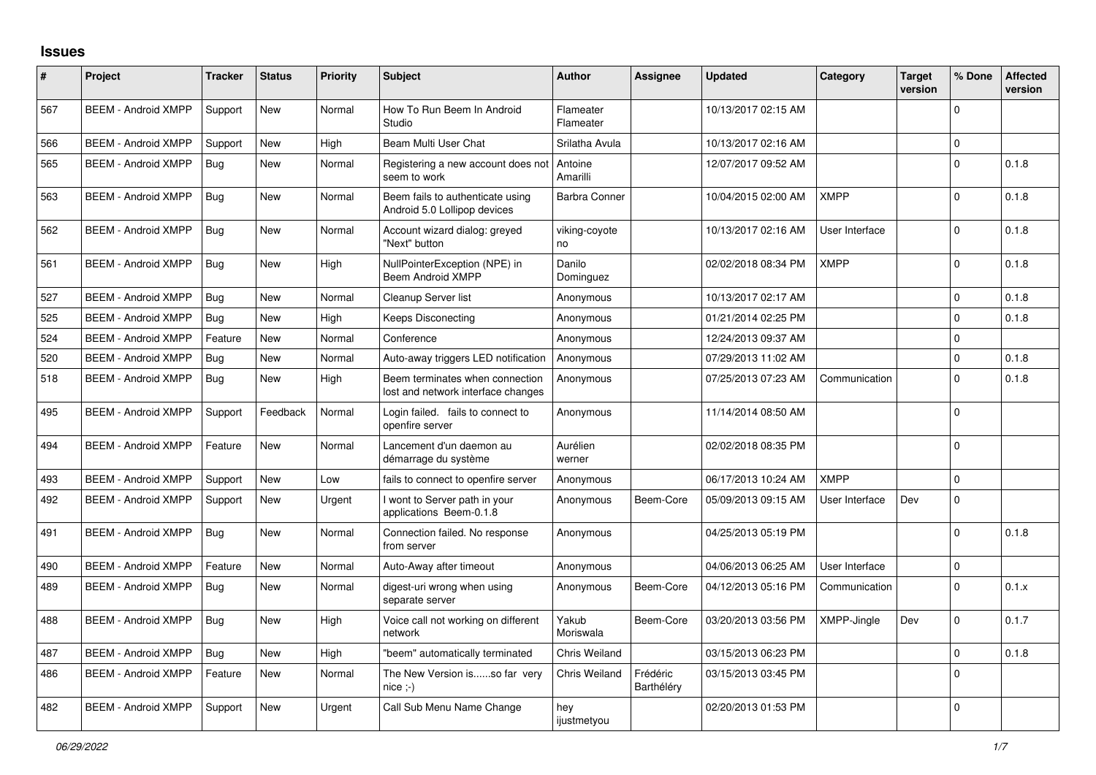## **Issues**

| #   | Project                    | <b>Tracker</b> | <b>Status</b> | Priority | <b>Subject</b>                                                        | <b>Author</b>          | <b>Assignee</b>        | <b>Updated</b>      | Category       | <b>Target</b><br>version | % Done   | <b>Affected</b><br>version |
|-----|----------------------------|----------------|---------------|----------|-----------------------------------------------------------------------|------------------------|------------------------|---------------------|----------------|--------------------------|----------|----------------------------|
| 567 | <b>BEEM - Android XMPP</b> | Support        | <b>New</b>    | Normal   | How To Run Beem In Android<br>Studio                                  | Flameater<br>Flameater |                        | 10/13/2017 02:15 AM |                |                          | $\Omega$ |                            |
| 566 | <b>BEEM - Android XMPP</b> | Support        | <b>New</b>    | High     | Beam Multi User Chat                                                  | Srilatha Avula         |                        | 10/13/2017 02:16 AM |                |                          | $\Omega$ |                            |
| 565 | <b>BEEM - Android XMPP</b> | Bua            | <b>New</b>    | Normal   | Registering a new account does not<br>seem to work                    | Antoine<br>Amarilli    |                        | 12/07/2017 09:52 AM |                |                          | $\Omega$ | 0.1.8                      |
| 563 | <b>BEEM - Android XMPP</b> | Bug            | <b>New</b>    | Normal   | Beem fails to authenticate using<br>Android 5.0 Lollipop devices      | <b>Barbra Conner</b>   |                        | 10/04/2015 02:00 AM | <b>XMPP</b>    |                          | $\Omega$ | 0.1.8                      |
| 562 | <b>BEEM - Android XMPP</b> | Bug            | <b>New</b>    | Normal   | Account wizard dialog: greyed<br>"Next" button                        | viking-coyote<br>no    |                        | 10/13/2017 02:16 AM | User Interface |                          | $\Omega$ | 0.1.8                      |
| 561 | <b>BEEM - Android XMPP</b> | Bug            | <b>New</b>    | High     | NullPointerException (NPE) in<br><b>Beem Android XMPP</b>             | Danilo<br>Dominguez    |                        | 02/02/2018 08:34 PM | <b>XMPP</b>    |                          | $\Omega$ | 0.1.8                      |
| 527 | <b>BEEM - Android XMPP</b> | Bug            | <b>New</b>    | Normal   | Cleanup Server list                                                   | Anonymous              |                        | 10/13/2017 02:17 AM |                |                          | $\Omega$ | 0.1.8                      |
| 525 | <b>BEEM - Android XMPP</b> | Bug            | New           | High     | Keeps Disconecting                                                    | Anonymous              |                        | 01/21/2014 02:25 PM |                |                          | $\Omega$ | 0.1.8                      |
| 524 | <b>BEEM - Android XMPP</b> | Feature        | <b>New</b>    | Normal   | Conference                                                            | Anonymous              |                        | 12/24/2013 09:37 AM |                |                          | $\Omega$ |                            |
| 520 | <b>BEEM - Android XMPP</b> | <b>Bug</b>     | <b>New</b>    | Normal   | Auto-away triggers LED notification                                   | Anonymous              |                        | 07/29/2013 11:02 AM |                |                          | $\Omega$ | 0.1.8                      |
| 518 | <b>BEEM - Android XMPP</b> | <b>Bug</b>     | <b>New</b>    | High     | Beem terminates when connection<br>lost and network interface changes | Anonymous              |                        | 07/25/2013 07:23 AM | Communication  |                          | $\Omega$ | 0.1.8                      |
| 495 | <b>BEEM - Android XMPP</b> | Support        | Feedback      | Normal   | Login failed. fails to connect to<br>openfire server                  | Anonymous              |                        | 11/14/2014 08:50 AM |                |                          | $\Omega$ |                            |
| 494 | <b>BEEM - Android XMPP</b> | Feature        | <b>New</b>    | Normal   | Lancement d'un daemon au<br>démarrage du système                      | Aurélien<br>werner     |                        | 02/02/2018 08:35 PM |                |                          | $\Omega$ |                            |
| 493 | <b>BEEM - Android XMPP</b> | Support        | <b>New</b>    | Low      | fails to connect to openfire server                                   | Anonymous              |                        | 06/17/2013 10:24 AM | <b>XMPP</b>    |                          | $\Omega$ |                            |
| 492 | <b>BEEM - Android XMPP</b> | Support        | <b>New</b>    | Urgent   | I wont to Server path in your<br>applications Beem-0.1.8              | Anonymous              | Beem-Core              | 05/09/2013 09:15 AM | User Interface | Dev                      | $\Omega$ |                            |
| 491 | <b>BEEM - Android XMPP</b> | Bug            | <b>New</b>    | Normal   | Connection failed. No response<br>from server                         | Anonymous              |                        | 04/25/2013 05:19 PM |                |                          | $\Omega$ | 0.1.8                      |
| 490 | <b>BEEM - Android XMPP</b> | Feature        | <b>New</b>    | Normal   | Auto-Away after timeout                                               | Anonymous              |                        | 04/06/2013 06:25 AM | User Interface |                          | $\Omega$ |                            |
| 489 | <b>BEEM - Android XMPP</b> | <b>Bug</b>     | <b>New</b>    | Normal   | digest-uri wrong when using<br>separate server                        | Anonymous              | Beem-Core              | 04/12/2013 05:16 PM | Communication  |                          | $\Omega$ | 0.1.x                      |
| 488 | <b>BEEM - Android XMPP</b> | Bug            | <b>New</b>    | High     | Voice call not working on different<br>network                        | Yakub<br>Moriswala     | Beem-Core              | 03/20/2013 03:56 PM | XMPP-Jingle    | Dev                      | $\Omega$ | 0.1.7                      |
| 487 | <b>BEEM - Android XMPP</b> | Bug            | <b>New</b>    | High     | "beem" automatically terminated                                       | <b>Chris Weiland</b>   |                        | 03/15/2013 06:23 PM |                |                          | $\Omega$ | 0.1.8                      |
| 486 | <b>BEEM - Android XMPP</b> | Feature        | New           | Normal   | The New Version isso far very<br>$nice; -)$                           | Chris Weiland          | Frédéric<br>Barthéléry | 03/15/2013 03:45 PM |                |                          | $\Omega$ |                            |
| 482 | <b>BEEM - Android XMPP</b> | Support        | New           | Urgent   | Call Sub Menu Name Change                                             | hey<br>ijustmetyou     |                        | 02/20/2013 01:53 PM |                |                          | $\Omega$ |                            |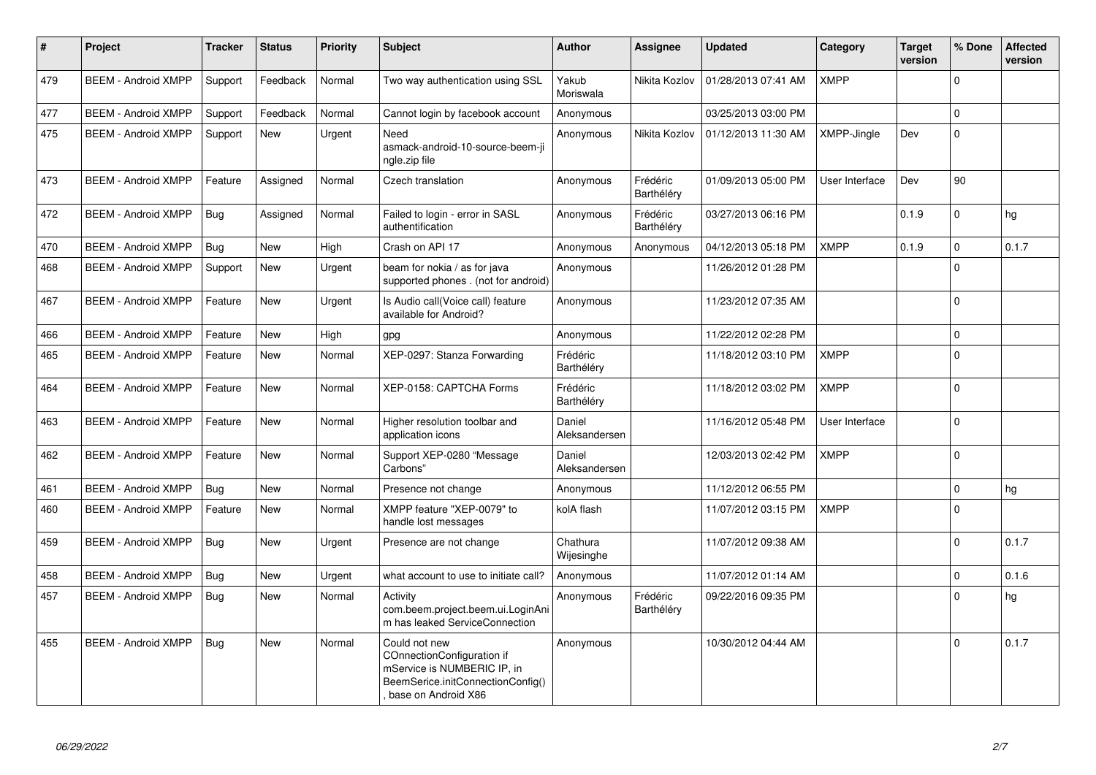| $\#$ | Project                    | <b>Tracker</b> | <b>Status</b> | <b>Priority</b> | <b>Subject</b>                                                                                                                         | <b>Author</b>           | <b>Assignee</b>        | <b>Updated</b>      | Category       | <b>Target</b><br>version | % Done   | <b>Affected</b><br>version |
|------|----------------------------|----------------|---------------|-----------------|----------------------------------------------------------------------------------------------------------------------------------------|-------------------------|------------------------|---------------------|----------------|--------------------------|----------|----------------------------|
| 479  | <b>BEEM - Android XMPP</b> | Support        | Feedback      | Normal          | Two way authentication using SSL                                                                                                       | Yakub<br>Moriswala      | Nikita Kozlov          | 01/28/2013 07:41 AM | <b>XMPP</b>    |                          | $\Omega$ |                            |
| 477  | <b>BEEM - Android XMPP</b> | Support        | Feedback      | Normal          | Cannot login by facebook account                                                                                                       | Anonymous               |                        | 03/25/2013 03:00 PM |                |                          | $\Omega$ |                            |
| 475  | <b>BEEM - Android XMPP</b> | Support        | <b>New</b>    | Urgent          | Need<br>asmack-android-10-source-beem-ji<br>ngle.zip file                                                                              | Anonymous               | Nikita Kozlov          | 01/12/2013 11:30 AM | XMPP-Jingle    | Dev                      | $\Omega$ |                            |
| 473  | <b>BEEM - Android XMPP</b> | Feature        | Assigned      | Normal          | Czech translation                                                                                                                      | Anonymous               | Frédéric<br>Barthéléry | 01/09/2013 05:00 PM | User Interface | Dev                      | 90       |                            |
| 472  | <b>BEEM - Android XMPP</b> | <b>Bug</b>     | Assigned      | Normal          | Failed to login - error in SASL<br>authentification                                                                                    | Anonymous               | Frédéric<br>Barthéléry | 03/27/2013 06:16 PM |                | 0.1.9                    | $\Omega$ | hg                         |
| 470  | <b>BEEM - Android XMPP</b> | Bug            | <b>New</b>    | High            | Crash on API 17                                                                                                                        | Anonymous               | Anonymous              | 04/12/2013 05:18 PM | <b>XMPP</b>    | 0.1.9                    | $\Omega$ | 0.1.7                      |
| 468  | <b>BEEM - Android XMPP</b> | Support        | New           | Urgent          | beam for nokia / as for java<br>supported phones . (not for android)                                                                   | Anonymous               |                        | 11/26/2012 01:28 PM |                |                          | $\Omega$ |                            |
| 467  | <b>BEEM - Android XMPP</b> | Feature        | <b>New</b>    | Urgent          | Is Audio call(Voice call) feature<br>available for Android?                                                                            | Anonymous               |                        | 11/23/2012 07:35 AM |                |                          | $\Omega$ |                            |
| 466  | <b>BEEM - Android XMPP</b> | Feature        | <b>New</b>    | High            | gpg                                                                                                                                    | Anonymous               |                        | 11/22/2012 02:28 PM |                |                          | $\Omega$ |                            |
| 465  | <b>BEEM - Android XMPP</b> | Feature        | <b>New</b>    | Normal          | XEP-0297: Stanza Forwarding                                                                                                            | Frédéric<br>Barthéléry  |                        | 11/18/2012 03:10 PM | <b>XMPP</b>    |                          | $\Omega$ |                            |
| 464  | <b>BEEM - Android XMPP</b> | Feature        | <b>New</b>    | Normal          | XEP-0158: CAPTCHA Forms                                                                                                                | Frédéric<br>Barthéléry  |                        | 11/18/2012 03:02 PM | <b>XMPP</b>    |                          | $\Omega$ |                            |
| 463  | <b>BEEM - Android XMPP</b> | Feature        | <b>New</b>    | Normal          | Higher resolution toolbar and<br>application icons                                                                                     | Daniel<br>Aleksandersen |                        | 11/16/2012 05:48 PM | User Interface |                          | $\Omega$ |                            |
| 462  | <b>BEEM - Android XMPP</b> | Feature        | <b>New</b>    | Normal          | Support XEP-0280 "Message<br>Carbons"                                                                                                  | Daniel<br>Aleksandersen |                        | 12/03/2013 02:42 PM | <b>XMPP</b>    |                          | $\Omega$ |                            |
| 461  | <b>BEEM - Android XMPP</b> | Bug            | New           | Normal          | Presence not change                                                                                                                    | Anonymous               |                        | 11/12/2012 06:55 PM |                |                          | $\Omega$ | hg                         |
| 460  | <b>BEEM - Android XMPP</b> | Feature        | <b>New</b>    | Normal          | XMPP feature "XEP-0079" to<br>handle lost messages                                                                                     | kolA flash              |                        | 11/07/2012 03:15 PM | <b>XMPP</b>    |                          | $\Omega$ |                            |
| 459  | <b>BEEM - Android XMPP</b> | Bug            | <b>New</b>    | Urgent          | Presence are not change                                                                                                                | Chathura<br>Wijesinghe  |                        | 11/07/2012 09:38 AM |                |                          | $\Omega$ | 0.1.7                      |
| 458  | <b>BEEM - Android XMPP</b> | Bug            | <b>New</b>    | Urgent          | what account to use to initiate call?                                                                                                  | Anonymous               |                        | 11/07/2012 01:14 AM |                |                          | $\Omega$ | 0.1.6                      |
| 457  | <b>BEEM - Android XMPP</b> | Bug            | <b>New</b>    | Normal          | Activity<br>com.beem.project.beem.ui.LoginAni<br>m has leaked ServiceConnection                                                        | Anonymous               | Frédéric<br>Barthéléry | 09/22/2016 09:35 PM |                |                          | $\Omega$ | hg                         |
| 455  | <b>BEEM - Android XMPP</b> | Bug            | <b>New</b>    | Normal          | Could not new<br>COnnectionConfiguration if<br>mService is NUMBERIC IP, in<br>BeemSerice.initConnectionConfig()<br>base on Android X86 | Anonymous               |                        | 10/30/2012 04:44 AM |                |                          | $\Omega$ | 0.1.7                      |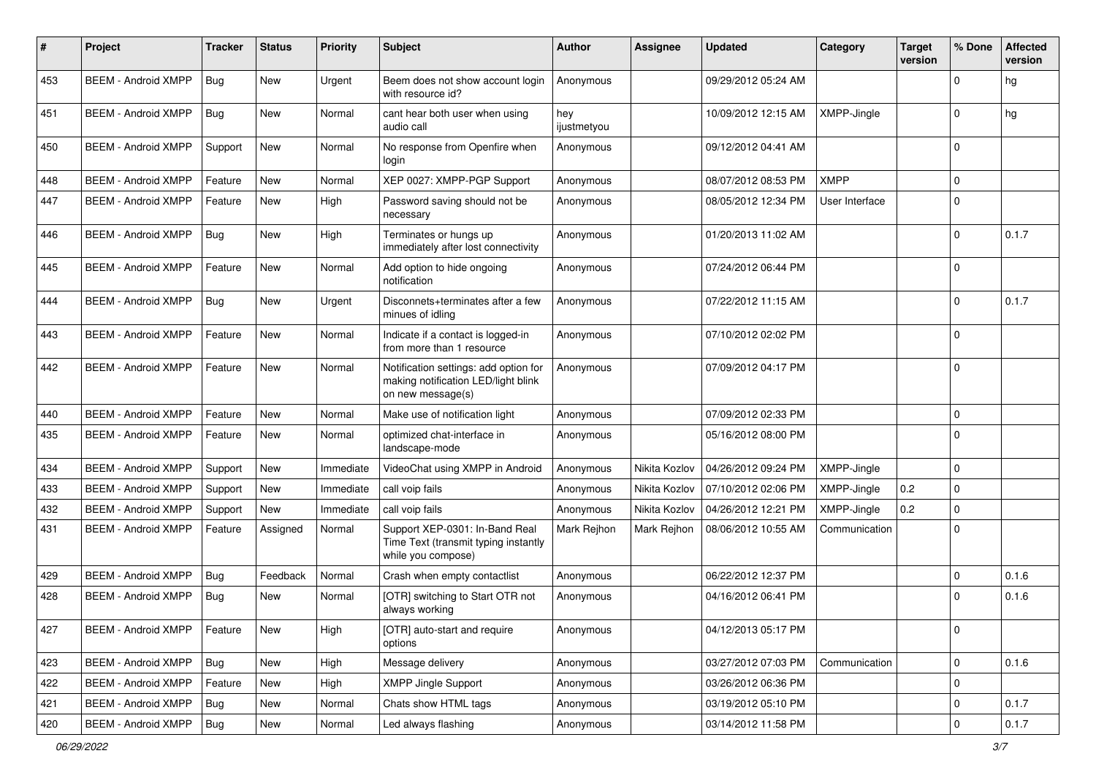| #   | Project                    | <b>Tracker</b> | <b>Status</b> | <b>Priority</b> | Subject                                                                                           | <b>Author</b>      | Assignee      | <b>Updated</b>      | Category       | <b>Target</b><br>version | % Done      | <b>Affected</b><br>version |
|-----|----------------------------|----------------|---------------|-----------------|---------------------------------------------------------------------------------------------------|--------------------|---------------|---------------------|----------------|--------------------------|-------------|----------------------------|
| 453 | <b>BEEM - Android XMPP</b> | Bug            | <b>New</b>    | Urgent          | Beem does not show account login<br>with resource id?                                             | Anonymous          |               | 09/29/2012 05:24 AM |                |                          | $\Omega$    | hg                         |
| 451 | <b>BEEM - Android XMPP</b> | <b>Bug</b>     | New           | Normal          | cant hear both user when using<br>audio call                                                      | hey<br>ijustmetyou |               | 10/09/2012 12:15 AM | XMPP-Jingle    |                          | $\Omega$    | hg                         |
| 450 | <b>BEEM - Android XMPP</b> | Support        | <b>New</b>    | Normal          | No response from Openfire when<br>login                                                           | Anonymous          |               | 09/12/2012 04:41 AM |                |                          | $\Omega$    |                            |
| 448 | <b>BEEM - Android XMPP</b> | Feature        | <b>New</b>    | Normal          | XEP 0027: XMPP-PGP Support                                                                        | Anonymous          |               | 08/07/2012 08:53 PM | <b>XMPP</b>    |                          | $\mathbf 0$ |                            |
| 447 | <b>BEEM - Android XMPP</b> | Feature        | <b>New</b>    | High            | Password saving should not be<br>necessary                                                        | Anonymous          |               | 08/05/2012 12:34 PM | User Interface |                          | $\Omega$    |                            |
| 446 | <b>BEEM - Android XMPP</b> | Bug            | New           | High            | Terminates or hungs up<br>immediately after lost connectivity                                     | Anonymous          |               | 01/20/2013 11:02 AM |                |                          | $\Omega$    | 0.1.7                      |
| 445 | <b>BEEM - Android XMPP</b> | Feature        | <b>New</b>    | Normal          | Add option to hide ongoing<br>notification                                                        | Anonymous          |               | 07/24/2012 06:44 PM |                |                          | $\mathbf 0$ |                            |
| 444 | <b>BEEM - Android XMPP</b> | Bug            | New           | Urgent          | Disconnets+terminates after a few<br>minues of idling                                             | Anonymous          |               | 07/22/2012 11:15 AM |                |                          | $\Omega$    | 0.1.7                      |
| 443 | <b>BEEM - Android XMPP</b> | Feature        | <b>New</b>    | Normal          | Indicate if a contact is logged-in<br>from more than 1 resource                                   | Anonymous          |               | 07/10/2012 02:02 PM |                |                          | $\mathbf 0$ |                            |
| 442 | <b>BEEM - Android XMPP</b> | Feature        | <b>New</b>    | Normal          | Notification settings: add option for<br>making notification LED/light blink<br>on new message(s) | Anonymous          |               | 07/09/2012 04:17 PM |                |                          | $\Omega$    |                            |
| 440 | <b>BEEM - Android XMPP</b> | Feature        | <b>New</b>    | Normal          | Make use of notification light                                                                    | Anonymous          |               | 07/09/2012 02:33 PM |                |                          | $\mathbf 0$ |                            |
| 435 | <b>BEEM - Android XMPP</b> | Feature        | New           | Normal          | optimized chat-interface in<br>landscape-mode                                                     | Anonymous          |               | 05/16/2012 08:00 PM |                |                          | $\Omega$    |                            |
| 434 | <b>BEEM - Android XMPP</b> | Support        | <b>New</b>    | Immediate       | VideoChat using XMPP in Android                                                                   | Anonymous          | Nikita Kozlov | 04/26/2012 09:24 PM | XMPP-Jingle    |                          | $\mathbf 0$ |                            |
| 433 | <b>BEEM - Android XMPP</b> | Support        | New           | Immediate       | call voip fails                                                                                   | Anonymous          | Nikita Kozlov | 07/10/2012 02:06 PM | XMPP-Jingle    | 0.2                      | $\mathbf 0$ |                            |
| 432 | <b>BEEM - Android XMPP</b> | Support        | <b>New</b>    | Immediate       | call voip fails                                                                                   | Anonymous          | Nikita Kozlov | 04/26/2012 12:21 PM | XMPP-Jingle    | 0.2                      | $\Omega$    |                            |
| 431 | <b>BEEM - Android XMPP</b> | Feature        | Assigned      | Normal          | Support XEP-0301: In-Band Real<br>Time Text (transmit typing instantly<br>while you compose)      | Mark Rejhon        | Mark Rejhon   | 08/06/2012 10:55 AM | Communication  |                          | $\Omega$    |                            |
| 429 | <b>BEEM - Android XMPP</b> | Bug            | Feedback      | Normal          | Crash when empty contactlist                                                                      | Anonymous          |               | 06/22/2012 12:37 PM |                |                          | $\Omega$    | 0.1.6                      |
| 428 | <b>BEEM - Android XMPP</b> | <b>Bug</b>     | New           | Normal          | [OTR] switching to Start OTR not<br>always working                                                | Anonymous          |               | 04/16/2012 06:41 PM |                |                          | $\Omega$    | 0.1.6                      |
| 427 | <b>BEEM - Android XMPP</b> | Feature        | <b>New</b>    | High            | [OTR] auto-start and require<br>options                                                           | Anonymous          |               | 04/12/2013 05:17 PM |                |                          | 0           |                            |
| 423 | <b>BEEM - Android XMPP</b> | Bug            | New           | High            | Message delivery                                                                                  | Anonymous          |               | 03/27/2012 07:03 PM | Communication  |                          | $\mathbf 0$ | 0.1.6                      |
| 422 | <b>BEEM - Android XMPP</b> | Feature        | <b>New</b>    | High            | <b>XMPP Jingle Support</b>                                                                        | Anonymous          |               | 03/26/2012 06:36 PM |                |                          | $\mathbf 0$ |                            |
| 421 | <b>BEEM - Android XMPP</b> | Bug            | New           | Normal          | Chats show HTML tags                                                                              | Anonymous          |               | 03/19/2012 05:10 PM |                |                          | 0           | 0.1.7                      |
| 420 | <b>BEEM - Android XMPP</b> | <b>Bug</b>     | New           | Normal          | Led always flashing                                                                               | Anonymous          |               | 03/14/2012 11:58 PM |                |                          | $\mathbf 0$ | 0.1.7                      |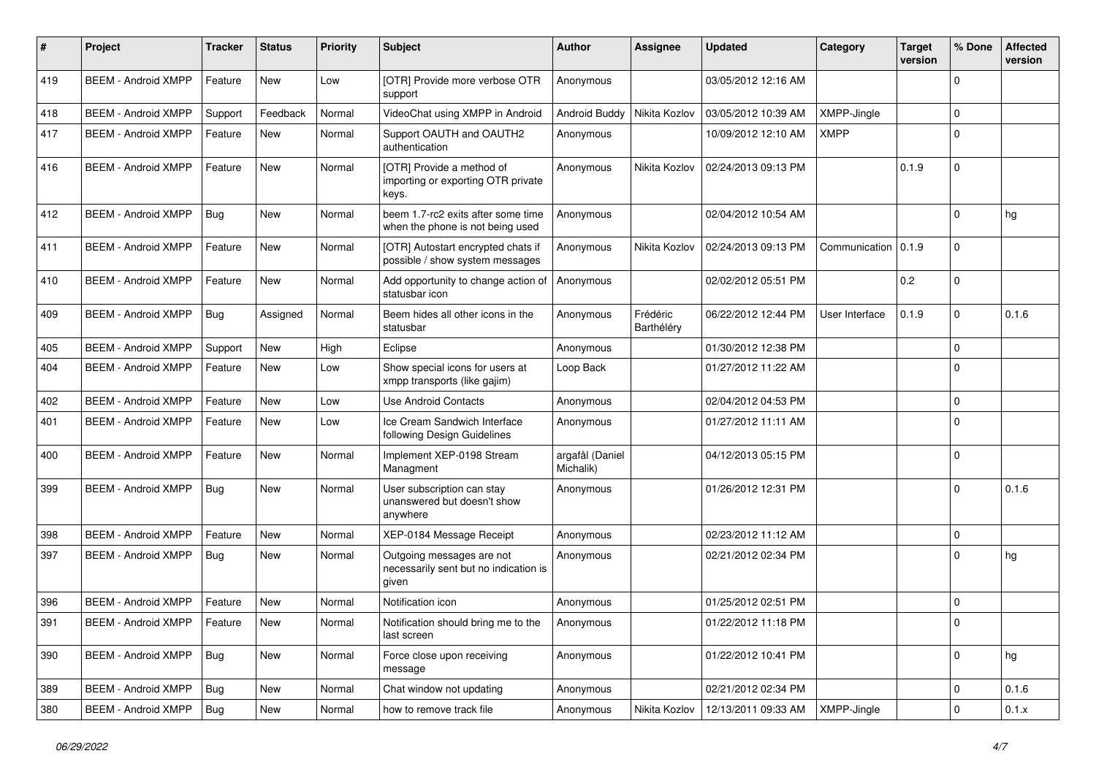| #   | Project                       | <b>Tracker</b> | <b>Status</b> | <b>Priority</b> | <b>Subject</b>                                                              | <b>Author</b>                | Assignee               | <b>Updated</b>      | Category           | <b>Target</b><br>version | % Done      | <b>Affected</b><br>version |
|-----|-------------------------------|----------------|---------------|-----------------|-----------------------------------------------------------------------------|------------------------------|------------------------|---------------------|--------------------|--------------------------|-------------|----------------------------|
| 419 | <b>BEEM - Android XMPP</b>    | Feature        | <b>New</b>    | Low             | [OTR] Provide more verbose OTR<br>support                                   | Anonymous                    |                        | 03/05/2012 12:16 AM |                    |                          | $\Omega$    |                            |
| 418 | <b>BEEM - Android XMPP</b>    | Support        | Feedback      | Normal          | VideoChat using XMPP in Android                                             | Android Buddy                | Nikita Kozlov          | 03/05/2012 10:39 AM | <b>XMPP-Jingle</b> |                          | $\Omega$    |                            |
| 417 | <b>BEEM - Android XMPP</b>    | Feature        | New           | Normal          | Support OAUTH and OAUTH2<br>authentication                                  | Anonymous                    |                        | 10/09/2012 12:10 AM | <b>XMPP</b>        |                          | $\Omega$    |                            |
| 416 | <b>BEEM - Android XMPP</b>    | Feature        | <b>New</b>    | Normal          | [OTR] Provide a method of<br>importing or exporting OTR private<br>keys.    | Anonymous                    | Nikita Kozlov          | 02/24/2013 09:13 PM |                    | 0.1.9                    | $\Omega$    |                            |
| 412 | <b>BEEM - Android XMPP</b>    | Bug            | <b>New</b>    | Normal          | beem 1.7-rc2 exits after some time<br>when the phone is not being used      | Anonymous                    |                        | 02/04/2012 10:54 AM |                    |                          | $\Omega$    | hg                         |
| 411 | <b>BEEM - Android XMPP</b>    | Feature        | <b>New</b>    | Normal          | [OTR] Autostart encrypted chats if<br>possible / show system messages       | Anonymous                    | Nikita Kozlov          | 02/24/2013 09:13 PM | Communication      | 0.1.9                    | $\Omega$    |                            |
| 410 | <b>BEEM - Android XMPP</b>    | Feature        | <b>New</b>    | Normal          | Add opportunity to change action of<br>statusbar icon                       | Anonymous                    |                        | 02/02/2012 05:51 PM |                    | 0.2                      | $\Omega$    |                            |
| 409 | <b>BEEM - Android XMPP</b>    | <b>Bug</b>     | Assigned      | Normal          | Beem hides all other icons in the<br>statusbar                              | Anonymous                    | Frédéric<br>Barthéléry | 06/22/2012 12:44 PM | User Interface     | 0.1.9                    | $\Omega$    | 0.1.6                      |
| 405 | <b>BEEM - Android XMPP</b>    | Support        | New           | High            | Eclipse                                                                     | Anonymous                    |                        | 01/30/2012 12:38 PM |                    |                          | $\Omega$    |                            |
| 404 | <b>BEEM - Android XMPP</b>    | Feature        | <b>New</b>    | Low             | Show special icons for users at<br>xmpp transports (like gajim)             | Loop Back                    |                        | 01/27/2012 11:22 AM |                    |                          | $\Omega$    |                            |
| 402 | <b>BEEM - Android XMPP</b>    | Feature        | <b>New</b>    | Low             | <b>Use Android Contacts</b>                                                 | Anonymous                    |                        | 02/04/2012 04:53 PM |                    |                          | $\Omega$    |                            |
| 401 | <b>BEEM - Android XMPP</b>    | Feature        | <b>New</b>    | Low             | Ice Cream Sandwich Interface<br>following Design Guidelines                 | Anonymous                    |                        | 01/27/2012 11:11 AM |                    |                          | $\Omega$    |                            |
| 400 | <b>BEEM - Android XMPP</b>    | Feature        | <b>New</b>    | Normal          | Implement XEP-0198 Stream<br>Managment                                      | argafål (Daniel<br>Michalik) |                        | 04/12/2013 05:15 PM |                    |                          | $\Omega$    |                            |
| 399 | <b>BEEM - Android XMPP</b>    | Bug            | New           | Normal          | User subscription can stay<br>unanswered but doesn't show<br>anywhere       | Anonymous                    |                        | 01/26/2012 12:31 PM |                    |                          | $\Omega$    | 0.1.6                      |
| 398 | <b>BEEM - Android XMPP</b>    | Feature        | <b>New</b>    | Normal          | XEP-0184 Message Receipt                                                    | Anonymous                    |                        | 02/23/2012 11:12 AM |                    |                          | $\Omega$    |                            |
| 397 | <b>BEEM - Android XMPP</b>    | Bug            | New           | Normal          | Outgoing messages are not<br>necessarily sent but no indication is<br>given | Anonymous                    |                        | 02/21/2012 02:34 PM |                    |                          | $\Omega$    | hg                         |
| 396 | <b>BEEM - Android XMPP</b>    | Feature        | New           | Normal          | Notification icon                                                           | Anonymous                    |                        | 01/25/2012 02:51 PM |                    |                          | $\Omega$    |                            |
| 391 | BEEM - Android XMPP   Feature |                | New           | Normal          | Notification should bring me to the<br>last screen                          | Anonymous                    |                        | 01/22/2012 11:18 PM |                    |                          | 0           |                            |
| 390 | <b>BEEM - Android XMPP</b>    | <b>Bug</b>     | New           | Normal          | Force close upon receiving<br>message                                       | Anonymous                    |                        | 01/22/2012 10:41 PM |                    |                          | $\mathbf 0$ | hg                         |
| 389 | <b>BEEM - Android XMPP</b>    | Bug            | <b>New</b>    | Normal          | Chat window not updating                                                    | Anonymous                    |                        | 02/21/2012 02:34 PM |                    |                          | $\mathbf 0$ | 0.1.6                      |
| 380 | <b>BEEM - Android XMPP</b>    | Bug            | New           | Normal          | how to remove track file                                                    | Anonymous                    | Nikita Kozlov          | 12/13/2011 09:33 AM | XMPP-Jingle        |                          | $\mathbf 0$ | 0.1.x                      |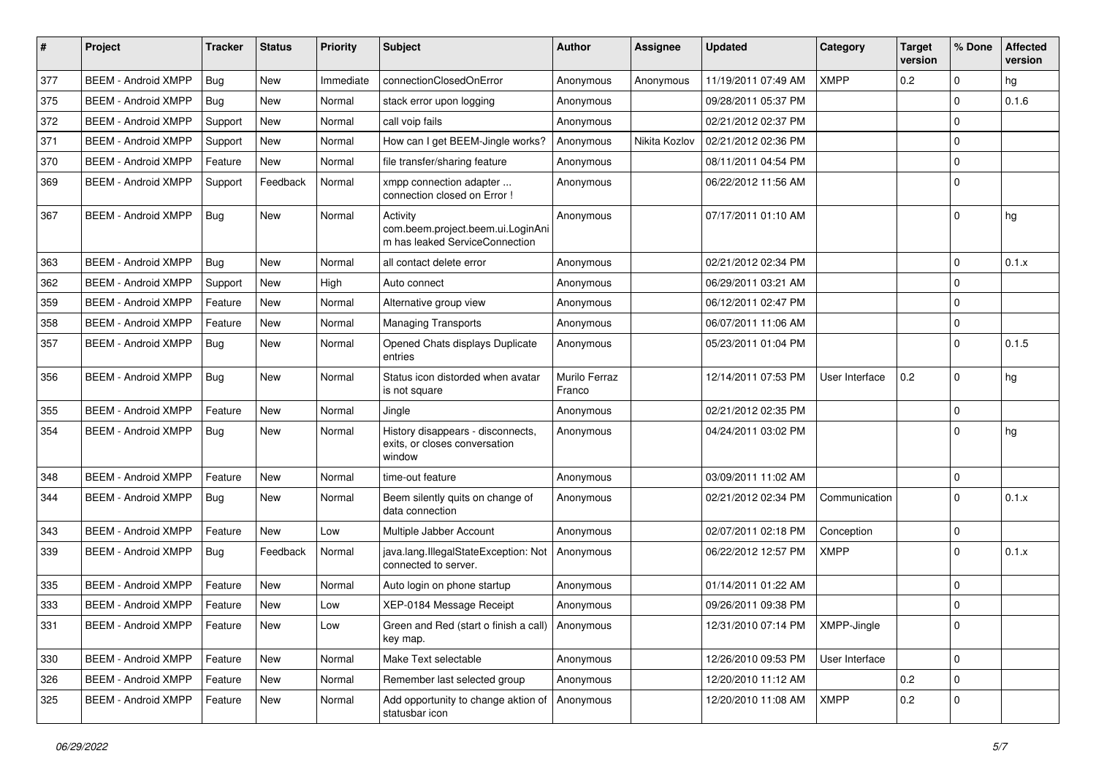| #   | Project                    | <b>Tracker</b> | <b>Status</b> | <b>Priority</b> | <b>Subject</b>                                                                  | <b>Author</b>           | <b>Assignee</b> | <b>Updated</b>      | Category       | <b>Target</b><br>version | % Done      | <b>Affected</b><br>version |
|-----|----------------------------|----------------|---------------|-----------------|---------------------------------------------------------------------------------|-------------------------|-----------------|---------------------|----------------|--------------------------|-------------|----------------------------|
| 377 | <b>BEEM - Android XMPP</b> | Bug            | <b>New</b>    | Immediate       | connectionClosedOnError                                                         | Anonymous               | Anonymous       | 11/19/2011 07:49 AM | <b>XMPP</b>    | 0.2                      | $\mathbf 0$ | hg                         |
| 375 | <b>BEEM - Android XMPP</b> | Bug            | New           | Normal          | stack error upon logging                                                        | Anonymous               |                 | 09/28/2011 05:37 PM |                |                          | $\mathbf 0$ | 0.1.6                      |
| 372 | <b>BEEM - Android XMPP</b> | Support        | New           | Normal          | call voip fails                                                                 | Anonymous               |                 | 02/21/2012 02:37 PM |                |                          | $\mathbf 0$ |                            |
| 371 | <b>BEEM - Android XMPP</b> | Support        | <b>New</b>    | Normal          | How can I get BEEM-Jingle works?                                                | Anonymous               | Nikita Kozlov   | 02/21/2012 02:36 PM |                |                          | $\mathbf 0$ |                            |
| 370 | <b>BEEM - Android XMPP</b> | Feature        | New           | Normal          | file transfer/sharing feature                                                   | Anonymous               |                 | 08/11/2011 04:54 PM |                |                          | $\mathbf 0$ |                            |
| 369 | <b>BEEM - Android XMPP</b> | Support        | Feedback      | Normal          | xmpp connection adapter<br>connection closed on Error !                         | Anonymous               |                 | 06/22/2012 11:56 AM |                |                          | $\mathbf 0$ |                            |
| 367 | <b>BEEM - Android XMPP</b> | Bug            | <b>New</b>    | Normal          | Activity<br>com.beem.project.beem.ui.LoginAni<br>m has leaked ServiceConnection | Anonymous               |                 | 07/17/2011 01:10 AM |                |                          | $\Omega$    | hg                         |
| 363 | <b>BEEM - Android XMPP</b> | Bug            | <b>New</b>    | Normal          | all contact delete error                                                        | Anonymous               |                 | 02/21/2012 02:34 PM |                |                          | $\mathbf 0$ | 0.1.x                      |
| 362 | <b>BEEM - Android XMPP</b> | Support        | <b>New</b>    | High            | Auto connect                                                                    | Anonymous               |                 | 06/29/2011 03:21 AM |                |                          | $\mathbf 0$ |                            |
| 359 | <b>BEEM - Android XMPP</b> | Feature        | New           | Normal          | Alternative group view                                                          | Anonymous               |                 | 06/12/2011 02:47 PM |                |                          | $\pmb{0}$   |                            |
| 358 | <b>BEEM - Android XMPP</b> | Feature        | New           | Normal          | <b>Managing Transports</b>                                                      | Anonymous               |                 | 06/07/2011 11:06 AM |                |                          | $\mathbf 0$ |                            |
| 357 | <b>BEEM - Android XMPP</b> | Bug            | <b>New</b>    | Normal          | Opened Chats displays Duplicate<br>entries                                      | Anonymous               |                 | 05/23/2011 01:04 PM |                |                          | $\mathbf 0$ | 0.1.5                      |
| 356 | <b>BEEM - Android XMPP</b> | Bug            | New           | Normal          | Status icon distorded when avatar<br>is not square                              | Murilo Ferraz<br>Franco |                 | 12/14/2011 07:53 PM | User Interface | 0.2                      | $\mathbf 0$ | hg                         |
| 355 | <b>BEEM - Android XMPP</b> | Feature        | <b>New</b>    | Normal          | Jingle                                                                          | Anonymous               |                 | 02/21/2012 02:35 PM |                |                          | $\mathbf 0$ |                            |
| 354 | <b>BEEM - Android XMPP</b> | Bug            | <b>New</b>    | Normal          | History disappears - disconnects,<br>exits, or closes conversation<br>window    | Anonymous               |                 | 04/24/2011 03:02 PM |                |                          | $\Omega$    | hg                         |
| 348 | <b>BEEM - Android XMPP</b> | Feature        | <b>New</b>    | Normal          | time-out feature                                                                | Anonymous               |                 | 03/09/2011 11:02 AM |                |                          | $\mathbf 0$ |                            |
| 344 | <b>BEEM - Android XMPP</b> | <b>Bug</b>     | <b>New</b>    | Normal          | Beem silently quits on change of<br>data connection                             | Anonymous               |                 | 02/21/2012 02:34 PM | Communication  |                          | $\mathbf 0$ | 0.1.x                      |
| 343 | <b>BEEM - Android XMPP</b> | Feature        | <b>New</b>    | Low             | Multiple Jabber Account                                                         | Anonymous               |                 | 02/07/2011 02:18 PM | Conception     |                          | $\mathbf 0$ |                            |
| 339 | <b>BEEM - Android XMPP</b> | <b>Bug</b>     | Feedback      | Normal          | java.lang.IllegalStateException: Not<br>connected to server.                    | Anonymous               |                 | 06/22/2012 12:57 PM | <b>XMPP</b>    |                          | $\Omega$    | 0.1.x                      |
| 335 | <b>BEEM - Android XMPP</b> | Feature        | <b>New</b>    | Normal          | Auto login on phone startup                                                     | Anonymous               |                 | 01/14/2011 01:22 AM |                |                          | $\mathbf 0$ |                            |
| 333 | <b>BEEM - Android XMPP</b> | Feature        | New           | Low             | XEP-0184 Message Receipt                                                        | Anonymous               |                 | 09/26/2011 09:38 PM |                |                          | $\mathbf 0$ |                            |
| 331 | <b>BEEM - Android XMPP</b> | Feature        | New           | Low             | Green and Red (start o finish a call)   Anonymous<br>key map.                   |                         |                 | 12/31/2010 07:14 PM | XMPP-Jingle    |                          | 0           |                            |
| 330 | <b>BEEM - Android XMPP</b> | Feature        | New           | Normal          | Make Text selectable                                                            | Anonymous               |                 | 12/26/2010 09:53 PM | User Interface |                          | $\mathbf 0$ |                            |
| 326 | <b>BEEM - Android XMPP</b> | Feature        | New           | Normal          | Remember last selected group                                                    | Anonymous               |                 | 12/20/2010 11:12 AM |                | 0.2                      | $\mathbf 0$ |                            |
| 325 | <b>BEEM - Android XMPP</b> | Feature        | <b>New</b>    | Normal          | Add opportunity to change aktion of<br>statusbar icon                           | Anonymous               |                 | 12/20/2010 11:08 AM | <b>XMPP</b>    | $0.2\,$                  | $\mathbf 0$ |                            |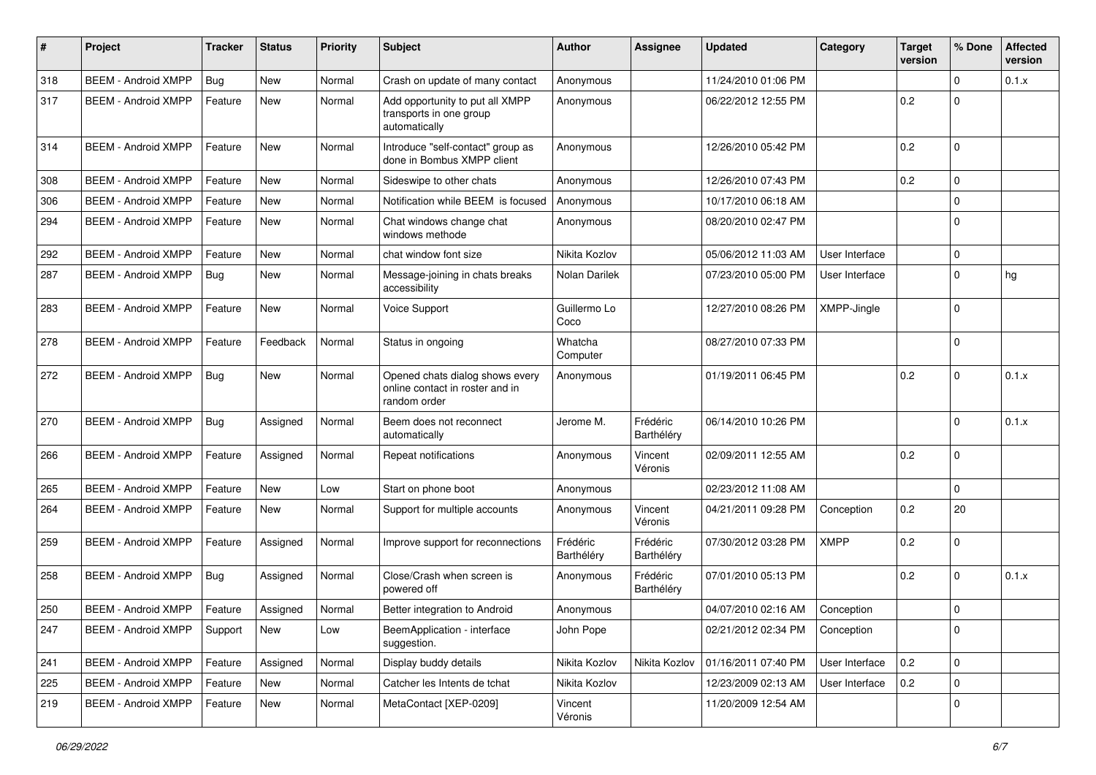| $\#$ | Project                    | <b>Tracker</b> | <b>Status</b> | <b>Priority</b> | <b>Subject</b>                                                                     | Author                 | <b>Assignee</b>        | <b>Updated</b>      | Category       | <b>Target</b><br>version | % Done      | <b>Affected</b><br>version |
|------|----------------------------|----------------|---------------|-----------------|------------------------------------------------------------------------------------|------------------------|------------------------|---------------------|----------------|--------------------------|-------------|----------------------------|
| 318  | <b>BEEM - Android XMPP</b> | <b>Bug</b>     | <b>New</b>    | Normal          | Crash on update of many contact                                                    | Anonymous              |                        | 11/24/2010 01:06 PM |                |                          | $\Omega$    | 0.1.x                      |
| 317  | <b>BEEM - Android XMPP</b> | Feature        | New           | Normal          | Add opportunity to put all XMPP<br>transports in one group<br>automatically        | Anonymous              |                        | 06/22/2012 12:55 PM |                | 0.2                      | $\Omega$    |                            |
| 314  | <b>BEEM - Android XMPP</b> | Feature        | <b>New</b>    | Normal          | Introduce "self-contact" group as<br>done in Bombus XMPP client                    | Anonymous              |                        | 12/26/2010 05:42 PM |                | 0.2                      | $\Omega$    |                            |
| 308  | <b>BEEM - Android XMPP</b> | Feature        | <b>New</b>    | Normal          | Sideswipe to other chats                                                           | Anonymous              |                        | 12/26/2010 07:43 PM |                | 0.2                      | $\mathbf 0$ |                            |
| 306  | <b>BEEM - Android XMPP</b> | Feature        | <b>New</b>    | Normal          | Notification while BEEM is focused                                                 | Anonymous              |                        | 10/17/2010 06:18 AM |                |                          | $\Omega$    |                            |
| 294  | <b>BEEM - Android XMPP</b> | Feature        | <b>New</b>    | Normal          | Chat windows change chat<br>windows methode                                        | Anonymous              |                        | 08/20/2010 02:47 PM |                |                          | $\Omega$    |                            |
| 292  | <b>BEEM - Android XMPP</b> | Feature        | <b>New</b>    | Normal          | chat window font size                                                              | Nikita Kozlov          |                        | 05/06/2012 11:03 AM | User Interface |                          | $\mathbf 0$ |                            |
| 287  | <b>BEEM - Android XMPP</b> | Bug            | New           | Normal          | Message-joining in chats breaks<br>accessibility                                   | Nolan Darilek          |                        | 07/23/2010 05:00 PM | User Interface |                          | $\Omega$    | hg                         |
| 283  | <b>BEEM - Android XMPP</b> | Feature        | <b>New</b>    | Normal          | Voice Support                                                                      | Guillermo Lo<br>Coco   |                        | 12/27/2010 08:26 PM | XMPP-Jingle    |                          | $\Omega$    |                            |
| 278  | <b>BEEM - Android XMPP</b> | Feature        | Feedback      | Normal          | Status in ongoing                                                                  | Whatcha<br>Computer    |                        | 08/27/2010 07:33 PM |                |                          | $\Omega$    |                            |
| 272  | <b>BEEM - Android XMPP</b> | Bug            | New           | Normal          | Opened chats dialog shows every<br>online contact in roster and in<br>random order | Anonymous              |                        | 01/19/2011 06:45 PM |                | 0.2                      | $\Omega$    | 0.1.x                      |
| 270  | <b>BEEM - Android XMPP</b> | Bug            | Assigned      | Normal          | Beem does not reconnect<br>automatically                                           | Jerome M.              | Frédéric<br>Barthéléry | 06/14/2010 10:26 PM |                |                          | $\Omega$    | 0.1.x                      |
| 266  | <b>BEEM - Android XMPP</b> | Feature        | Assigned      | Normal          | Repeat notifications                                                               | Anonymous              | Vincent<br>Véronis     | 02/09/2011 12:55 AM |                | 0.2                      | $\Omega$    |                            |
| 265  | <b>BEEM - Android XMPP</b> | Feature        | <b>New</b>    | Low             | Start on phone boot                                                                | Anonymous              |                        | 02/23/2012 11:08 AM |                |                          | $\Omega$    |                            |
| 264  | <b>BEEM - Android XMPP</b> | Feature        | <b>New</b>    | Normal          | Support for multiple accounts                                                      | Anonymous              | Vincent<br>Véronis     | 04/21/2011 09:28 PM | Conception     | 0.2                      | 20          |                            |
| 259  | <b>BEEM - Android XMPP</b> | Feature        | Assigned      | Normal          | Improve support for reconnections                                                  | Frédéric<br>Barthéléry | Frédéric<br>Barthéléry | 07/30/2012 03:28 PM | XMPP           | 0.2                      | $\Omega$    |                            |
| 258  | <b>BEEM - Android XMPP</b> | Bug            | Assigned      | Normal          | Close/Crash when screen is<br>powered off                                          | Anonymous              | Frédéric<br>Barthéléry | 07/01/2010 05:13 PM |                | 0.2                      | $\Omega$    | 0.1.x                      |
| 250  | <b>BEEM - Android XMPP</b> | Feature        | Assigned      | Normal          | Better integration to Android                                                      | Anonymous              |                        | 04/07/2010 02:16 AM | Conception     |                          | $\Omega$    |                            |
| 247  | <b>BEEM - Android XMPP</b> | Support        | New           | Low             | BeemApplication - interface<br>suggestion.                                         | John Pope              |                        | 02/21/2012 02:34 PM | Conception     |                          | $\mathbf 0$ |                            |
| 241  | <b>BEEM - Android XMPP</b> | Feature        | Assigned      | Normal          | Display buddy details                                                              | Nikita Kozlov          | Nikita Kozlov          | 01/16/2011 07:40 PM | User Interface | 0.2                      | $\mathbf 0$ |                            |
| 225  | <b>BEEM - Android XMPP</b> | Feature        | New           | Normal          | Catcher les Intents de tchat                                                       | Nikita Kozlov          |                        | 12/23/2009 02:13 AM | User Interface | 0.2                      | $\mathbf 0$ |                            |
| 219  | <b>BEEM - Android XMPP</b> | Feature        | New           | Normal          | MetaContact [XEP-0209]                                                             | Vincent<br>Véronis     |                        | 11/20/2009 12:54 AM |                |                          | $\mathbf 0$ |                            |